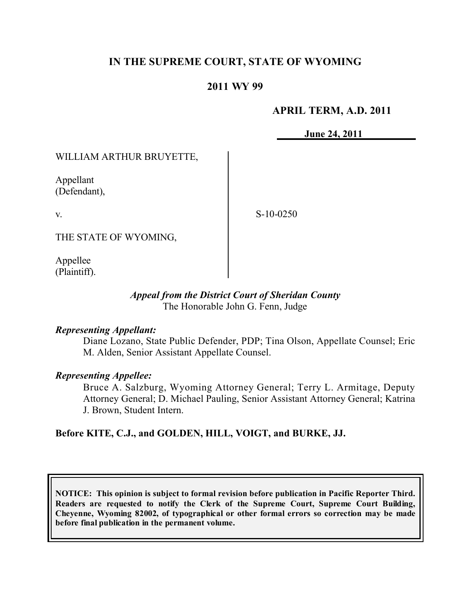# **IN THE SUPREME COURT, STATE OF WYOMING**

# **2011 WY 99**

### **APRIL TERM, A.D. 2011**

**June 24, 2011**

WILLIAM ARTHUR BRUYETTE,

Appellant (Defendant),

v.

S-10-0250

THE STATE OF WYOMING,

Appellee (Plaintiff).

### *Appeal from the District Court of Sheridan County* The Honorable John G. Fenn, Judge

### *Representing Appellant:*

Diane Lozano, State Public Defender, PDP; Tina Olson, Appellate Counsel; Eric M. Alden, Senior Assistant Appellate Counsel.

### *Representing Appellee:*

Bruce A. Salzburg, Wyoming Attorney General; Terry L. Armitage, Deputy Attorney General; D. Michael Pauling, Senior Assistant Attorney General; Katrina J. Brown, Student Intern.

**Before KITE, C.J., and GOLDEN, HILL, VOIGT, and BURKE, JJ.**

**NOTICE: This opinion is subject to formal revision before publication in Pacific Reporter Third. Readers are requested to notify the Clerk of the Supreme Court, Supreme Court Building, Cheyenne, Wyoming 82002, of typographical or other formal errors so correction may be made before final publication in the permanent volume.**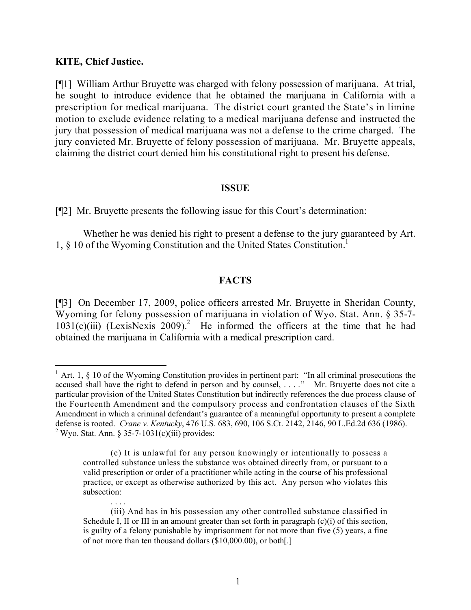#### **KITE, Chief Justice.**

 $\overline{a}$ 

[¶1] William Arthur Bruyette was charged with felony possession of marijuana. At trial, he sought to introduce evidence that he obtained the marijuana in California with a prescription for medical marijuana. The district court granted the State's in limine motion to exclude evidence relating to a medical marijuana defense and instructed the jury that possession of medical marijuana was not a defense to the crime charged. The jury convicted Mr. Bruyette of felony possession of marijuana. Mr. Bruyette appeals, claiming the district court denied him his constitutional right to present his defense.

#### **ISSUE**

[¶2] Mr. Bruyette presents the following issue for this Court's determination:

Whether he was denied his right to present a defense to the jury guaranteed by Art. 1, § 10 of the Wyoming Constitution and the United States Constitution.<sup>1</sup>

### **FACTS**

[¶3] On December 17, 2009, police officers arrested Mr. Bruyette in Sheridan County, Wyoming for felony possession of marijuana in violation of Wyo. Stat. Ann. § 35-7-  $1031(c)(iii)$  (LexisNexis 2009).<sup>2</sup> He informed the officers at the time that he had obtained the marijuana in California with a medical prescription card.

<sup>&</sup>lt;sup>1</sup> Art. 1,  $\S$  10 of the Wyoming Constitution provides in pertinent part: "In all criminal prosecutions the accused shall have the right to defend in person and by counsel, . . . ." Mr. Bruyette does not cite a particular provision of the United States Constitution but indirectly references the due process clause of the Fourteenth Amendment and the compulsory process and confrontation clauses of the Sixth Amendment in which a criminal defendant's guarantee of a meaningful opportunity to present a complete defense is rooted. *Crane v. Kentucky*, 476 U.S. 683, 690, 106 S.Ct. 2142, 2146, 90 L.Ed.2d 636 (1986).  $2$  Wyo. Stat. Ann. § 35-7-1031(c)(iii) provides:

<sup>(</sup>c) It is unlawful for any person knowingly or intentionally to possess a controlled substance unless the substance was obtained directly from, or pursuant to a valid prescription or order of a practitioner while acting in the course of his professional practice, or except as otherwise authorized by this act. Any person who violates this subsection:

<sup>. . . .</sup> (iii) And has in his possession any other controlled substance classified in Schedule I, II or III in an amount greater than set forth in paragraph  $(c)(i)$  of this section, is guilty of a felony punishable by imprisonment for not more than five (5) years, a fine of not more than ten thousand dollars (\$10,000.00), or both[.]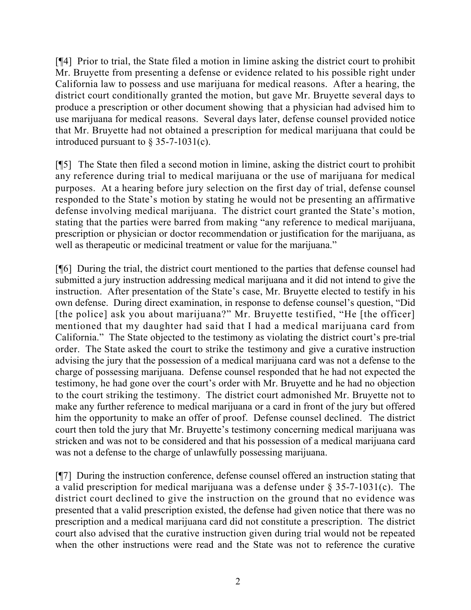[¶4] Prior to trial, the State filed a motion in limine asking the district court to prohibit Mr. Bruyette from presenting a defense or evidence related to his possible right under California law to possess and use marijuana for medical reasons. After a hearing, the district court conditionally granted the motion, but gave Mr. Bruyette several days to produce a prescription or other document showing that a physician had advised him to use marijuana for medical reasons. Several days later, defense counsel provided notice that Mr. Bruyette had not obtained a prescription for medical marijuana that could be introduced pursuant to  $\S$  35-7-1031(c).

[¶5] The State then filed a second motion in limine, asking the district court to prohibit any reference during trial to medical marijuana or the use of marijuana for medical purposes. At a hearing before jury selection on the first day of trial, defense counsel responded to the State's motion by stating he would not be presenting an affirmative defense involving medical marijuana. The district court granted the State's motion, stating that the parties were barred from making "any reference to medical marijuana, prescription or physician or doctor recommendation or justification for the marijuana, as well as therapeutic or medicinal treatment or value for the marijuana."

[¶6] During the trial, the district court mentioned to the parties that defense counsel had submitted a jury instruction addressing medical marijuana and it did not intend to give the instruction. After presentation of the State's case, Mr. Bruyette elected to testify in his own defense. During direct examination, in response to defense counsel's question, "Did [the police] ask you about marijuana?" Mr. Bruyette testified, "He [the officer] mentioned that my daughter had said that I had a medical marijuana card from California." The State objected to the testimony as violating the district court's pre-trial order. The State asked the court to strike the testimony and give a curative instruction advising the jury that the possession of a medical marijuana card was not a defense to the charge of possessing marijuana. Defense counsel responded that he had not expected the testimony, he had gone over the court's order with Mr. Bruyette and he had no objection to the court striking the testimony. The district court admonished Mr. Bruyette not to make any further reference to medical marijuana or a card in front of the jury but offered him the opportunity to make an offer of proof. Defense counsel declined. The district court then told the jury that Mr. Bruyette's testimony concerning medical marijuana was stricken and was not to be considered and that his possession of a medical marijuana card was not a defense to the charge of unlawfully possessing marijuana.

[¶7] During the instruction conference, defense counsel offered an instruction stating that a valid prescription for medical marijuana was a defense under § 35-7-1031(c). The district court declined to give the instruction on the ground that no evidence was presented that a valid prescription existed, the defense had given notice that there was no prescription and a medical marijuana card did not constitute a prescription. The district court also advised that the curative instruction given during trial would not be repeated when the other instructions were read and the State was not to reference the curative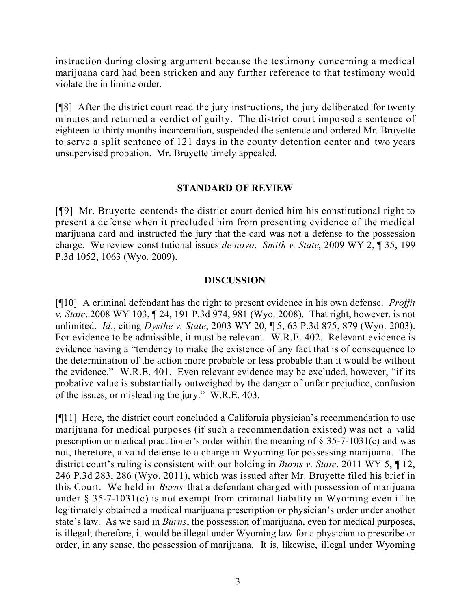instruction during closing argument because the testimony concerning a medical marijuana card had been stricken and any further reference to that testimony would violate the in limine order.

[¶8] After the district court read the jury instructions, the jury deliberated for twenty minutes and returned a verdict of guilty. The district court imposed a sentence of eighteen to thirty months incarceration, suspended the sentence and ordered Mr. Bruyette to serve a split sentence of 121 days in the county detention center and two years unsupervised probation. Mr. Bruyette timely appealed.

## **STANDARD OF REVIEW**

[¶9] Mr. Bruyette contends the district court denied him his constitutional right to present a defense when it precluded him from presenting evidence of the medical marijuana card and instructed the jury that the card was not a defense to the possession charge. We review constitutional issues *de novo*. *Smith v. State*, 2009 WY 2, ¶ 35, 199 P.3d 1052, 1063 (Wyo. 2009).

## **DISCUSSION**

[¶10] A criminal defendant has the right to present evidence in his own defense. *Proffit v. State*, 2008 WY 103, ¶ 24, 191 P.3d 974, 981 (Wyo. 2008). That right, however, is not unlimited. *Id*., citing *Dysthe v. State*, 2003 WY 20, ¶ 5, 63 P.3d 875, 879 (Wyo. 2003). For evidence to be admissible, it must be relevant. W.R.E. 402. Relevant evidence is evidence having a "tendency to make the existence of any fact that is of consequence to the determination of the action more probable or less probable than it would be without the evidence." W.R.E. 401. Even relevant evidence may be excluded, however, "if its probative value is substantially outweighed by the danger of unfair prejudice, confusion of the issues, or misleading the jury." W.R.E. 403.

[¶11] Here, the district court concluded a California physician's recommendation to use marijuana for medical purposes (if such a recommendation existed) was not a valid prescription or medical practitioner's order within the meaning of  $\S$  35-7-1031(c) and was not, therefore, a valid defense to a charge in Wyoming for possessing marijuana. The district court's ruling is consistent with our holding in *Burns v. State*, 2011 WY 5, ¶ 12, 246 P.3d 283, 286 (Wyo. 2011), which was issued after Mr. Bruyette filed his brief in this Court. We held in *Burns* that a defendant charged with possession of marijuana under  $\S$  35-7-1031(c) is not exempt from criminal liability in Wyoming even if he legitimately obtained a medical marijuana prescription or physician's order under another state's law. As we said in *Burns*, the possession of marijuana, even for medical purposes, is illegal; therefore, it would be illegal under Wyoming law for a physician to prescribe or order, in any sense, the possession of marijuana. It is, likewise, illegal under Wyoming